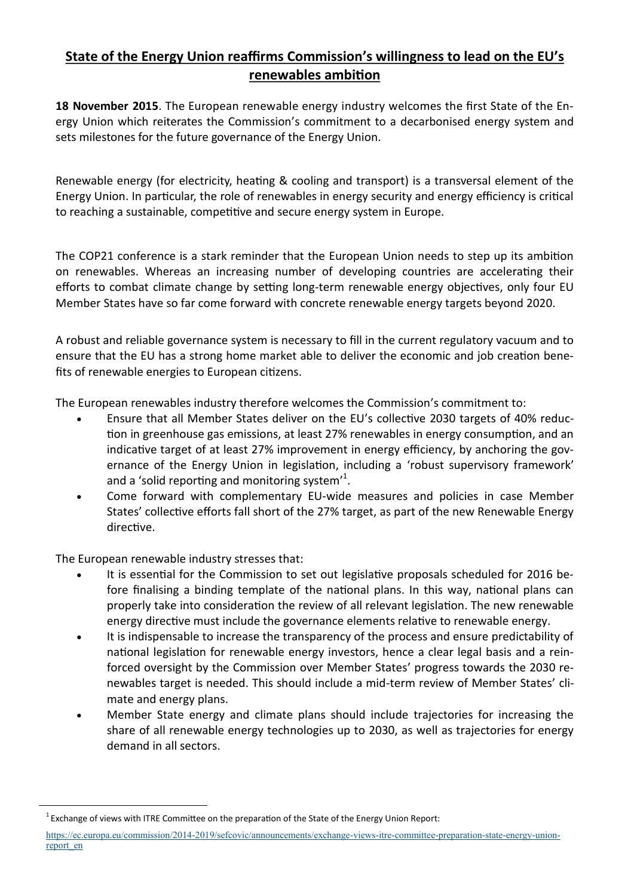## **State of the Energy Union reaffirms Commission's willingness to lead on the EU's renewables ambition**

**18 November 2015**. The European renewable energy industry welcomes the first State of the Energy Union which reiterates the Commission's commitment to a decarbonised energy system and sets milestones for the future governance of the Energy Union.

Renewable energy (for electricity, heating & cooling and transport) is a transversal element of the Energy Union. In particular, the role of renewables in energy security and energy efficiency is critical to reaching a sustainable, competitive and secure energy system in Europe.

The COP21 conference is a stark reminder that the European Union needs to step up its ambition on renewables. Whereas an increasing number of developing countries are accelerating their efforts to combat climate change by setting long-term renewable energy objectives, only four EU Member States have so far come forward with concrete renewable energy targets beyond 2020.

A robust and reliable governance system is necessary to fill in the current regulatory vacuum and to ensure that the EU has a strong home market able to deliver the economic and job creation benefits of renewable energies to European citizens.

The European renewables industry therefore welcomes the Commission's commitment to:

- Ensure that all Member States deliver on the EU's collective 2030 targets of 40% reduction in greenhouse gas emissions, at least 27% renewables in energy consumption, and an indicative target of at least 27% improvement in energy efficiency, by anchoring the governance of the Energy Union in legislation, including a 'robust supervisory framework' and a 'solid reporting and monitoring system'<sup>1</sup>.
- Come forward with complementary EU-wide measures and policies in case Member States' collective efforts fall short of the 27% target, as part of the new Renewable Energy directive.

The European renewable industry stresses that:

- It is essential for the Commission to set out legislative proposals scheduled for 2016 before finalising a binding template of the national plans. In this way, national plans can properly take into consideration the review of all relevant legislation. The new renewable energy directive must include the governance elements relative to renewable energy.
- It is indispensable to increase the transparency of the process and ensure predictability of national legislation for renewable energy investors, hence a clear legal basis and a reinforced oversight by the Commission over Member States' progress towards the 2030 renewables target is needed. This should include a mid-term review of Member States' climate and energy plans.
- Member State energy and climate plans should include trajectories for increasing the share of all renewable energy technologies up to 2030, as well as trajectories for energy demand in all sectors.

 $<sup>1</sup>$  Exchange of views with ITRE Committee on the preparation of the State of the Energy Union Report:</sup>

https://ec.europa.eu/commission/2014-[2019/sefcovic/announcements/exchange](https://ec.europa.eu/commission/2014-2019/sefcovic/announcements/exchange-views-itre-committee-preparation-state-energy-union-report_en)-views-itre-committee-preparation-state-energy-union[report\\_en](https://ec.europa.eu/commission/2014-2019/sefcovic/announcements/exchange-views-itre-committee-preparation-state-energy-union-report_en)